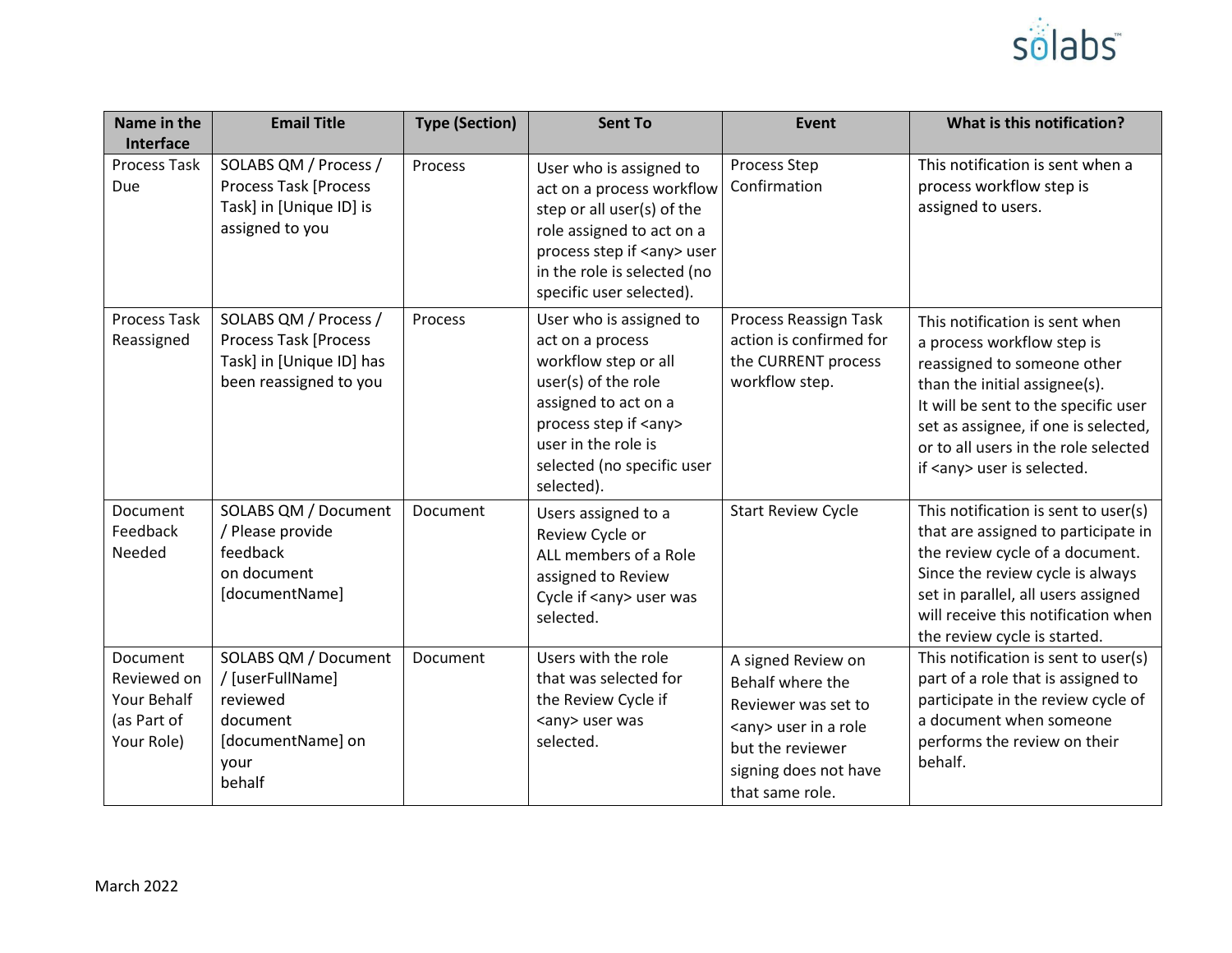

| Name in the<br>Interface                                                   | <b>Email Title</b>                                                                                          | <b>Type (Section)</b> | <b>Sent To</b>                                                                                                                                                                                                          | <b>Event</b>                                                                                                                                                   | What is this notification?                                                                                                                                                                                                                                                               |
|----------------------------------------------------------------------------|-------------------------------------------------------------------------------------------------------------|-----------------------|-------------------------------------------------------------------------------------------------------------------------------------------------------------------------------------------------------------------------|----------------------------------------------------------------------------------------------------------------------------------------------------------------|------------------------------------------------------------------------------------------------------------------------------------------------------------------------------------------------------------------------------------------------------------------------------------------|
| <b>Process Task</b><br>Due                                                 | SOLABS QM / Process /<br><b>Process Task [Process</b><br>Task] in [Unique ID] is<br>assigned to you         | Process               | User who is assigned to<br>act on a process workflow<br>step or all user(s) of the<br>role assigned to act on a<br>process step if <any> user<br/>in the role is selected (no<br/>specific user selected).</any>        | Process Step<br>Confirmation                                                                                                                                   | This notification is sent when a<br>process workflow step is<br>assigned to users.                                                                                                                                                                                                       |
| <b>Process Task</b><br>Reassigned                                          | SOLABS QM / Process /<br><b>Process Task [Process</b><br>Task] in [Unique ID] has<br>been reassigned to you | Process               | User who is assigned to<br>act on a process<br>workflow step or all<br>user(s) of the role<br>assigned to act on a<br>process step if <any><br/>user in the role is<br/>selected (no specific user<br/>selected).</any> | Process Reassign Task<br>action is confirmed for<br>the CURRENT process<br>workflow step.                                                                      | This notification is sent when<br>a process workflow step is<br>reassigned to someone other<br>than the initial assignee(s).<br>It will be sent to the specific user<br>set as assignee, if one is selected,<br>or to all users in the role selected<br>if <any> user is selected.</any> |
| Document<br>Feedback<br>Needed                                             | SOLABS QM / Document<br>/ Please provide<br>feedback<br>on document<br>[documentName]                       | Document              | Users assigned to a<br>Review Cycle or<br>ALL members of a Role<br>assigned to Review<br>Cycle if <any> user was<br/>selected.</any>                                                                                    | <b>Start Review Cycle</b>                                                                                                                                      | This notification is sent to user(s)<br>that are assigned to participate in<br>the review cycle of a document.<br>Since the review cycle is always<br>set in parallel, all users assigned<br>will receive this notification when<br>the review cycle is started.                         |
| <b>Document</b><br>Reviewed on<br>Your Behalf<br>(as Part of<br>Your Role) | SOLABS QM / Document<br>/ [userFullName]<br>reviewed<br>document<br>[documentName] on<br>your<br>behalf     | Document              | Users with the role<br>that was selected for<br>the Review Cycle if<br><any> user was<br/>selected.</any>                                                                                                               | A signed Review on<br>Behalf where the<br>Reviewer was set to<br><any> user in a role<br/>but the reviewer<br/>signing does not have<br/>that same role.</any> | This notification is sent to user(s)<br>part of a role that is assigned to<br>participate in the review cycle of<br>a document when someone<br>performs the review on their<br>behalf.                                                                                                   |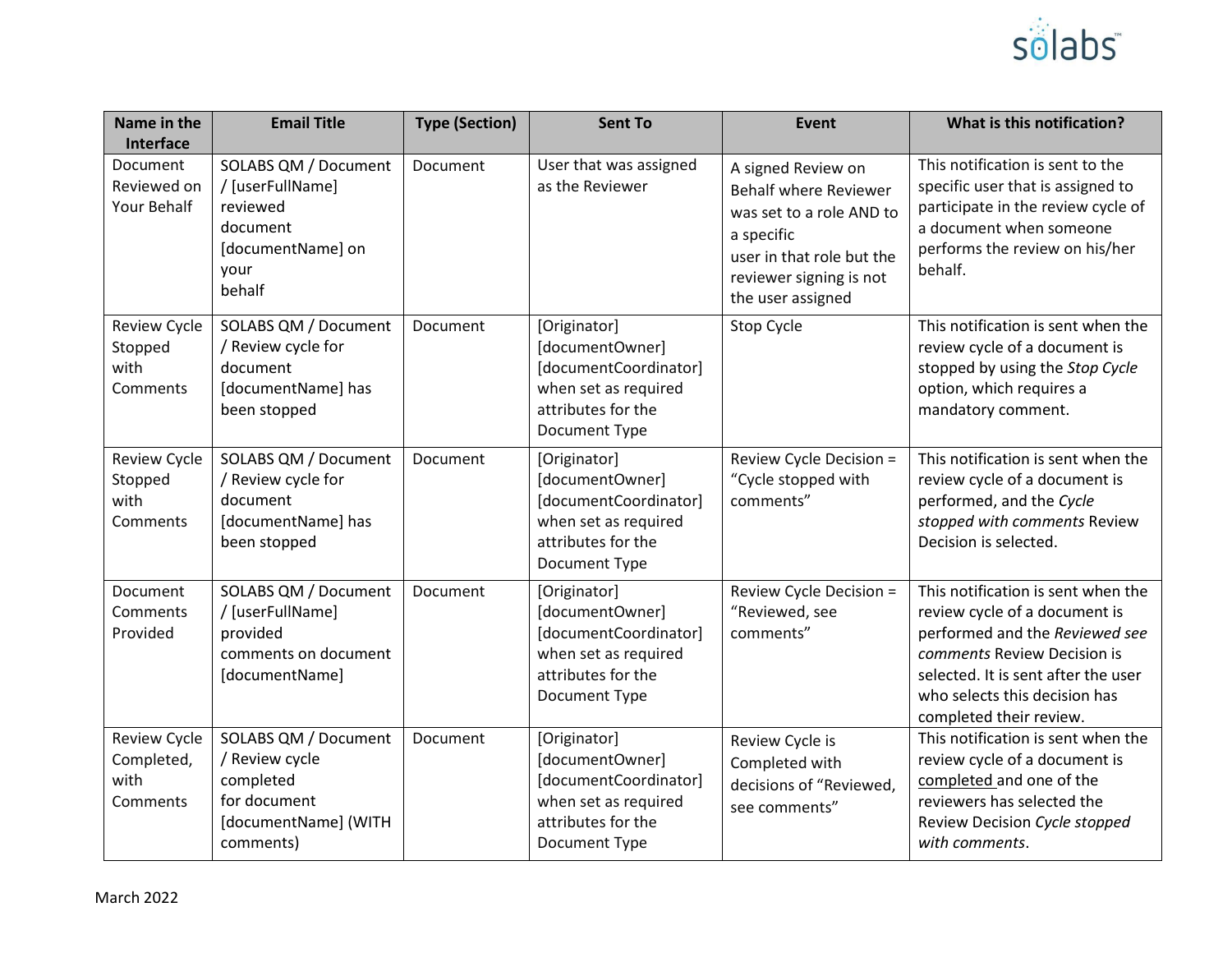

| Name in the<br>Interface                              | <b>Email Title</b>                                                                                       | <b>Type (Section)</b> | <b>Sent To</b>                                                                                                          | Event                                                                                                                                                                     | What is this notification?                                                                                                                                                                                                              |
|-------------------------------------------------------|----------------------------------------------------------------------------------------------------------|-----------------------|-------------------------------------------------------------------------------------------------------------------------|---------------------------------------------------------------------------------------------------------------------------------------------------------------------------|-----------------------------------------------------------------------------------------------------------------------------------------------------------------------------------------------------------------------------------------|
| <b>Document</b><br>Reviewed on<br>Your Behalf         | SOLABS QM / Document<br>/ [userFullName]<br>reviewed<br>document<br>[documentName] on<br>your<br>behalf  | Document              | User that was assigned<br>as the Reviewer                                                                               | A signed Review on<br><b>Behalf where Reviewer</b><br>was set to a role AND to<br>a specific<br>user in that role but the<br>reviewer signing is not<br>the user assigned | This notification is sent to the<br>specific user that is assigned to<br>participate in the review cycle of<br>a document when someone<br>performs the review on his/her<br>behalf.                                                     |
| <b>Review Cycle</b><br>Stopped<br>with<br>Comments    | SOLABS QM / Document<br>/ Review cycle for<br>document<br>[documentName] has<br>been stopped             | Document              | [Originator]<br>[documentOwner]<br>[documentCoordinator]<br>when set as required<br>attributes for the<br>Document Type | Stop Cycle                                                                                                                                                                | This notification is sent when the<br>review cycle of a document is<br>stopped by using the Stop Cycle<br>option, which requires a<br>mandatory comment.                                                                                |
| <b>Review Cycle</b><br>Stopped<br>with<br>Comments    | SOLABS QM / Document<br>/ Review cycle for<br>document<br>[documentName] has<br>been stopped             | Document              | [Originator]<br>[documentOwner]<br>[documentCoordinator]<br>when set as required<br>attributes for the<br>Document Type | Review Cycle Decision =<br>"Cycle stopped with<br>comments"                                                                                                               | This notification is sent when the<br>review cycle of a document is<br>performed, and the Cycle<br>stopped with comments Review<br>Decision is selected.                                                                                |
| Document<br>Comments<br>Provided                      | SOLABS QM / Document<br>/ [userFullName]<br>provided<br>comments on document<br>[documentName]           | Document              | [Originator]<br>[documentOwner]<br>[documentCoordinator]<br>when set as required<br>attributes for the<br>Document Type | Review Cycle Decision =<br>"Reviewed, see<br>comments"                                                                                                                    | This notification is sent when the<br>review cycle of a document is<br>performed and the Reviewed see<br>comments Review Decision is<br>selected. It is sent after the user<br>who selects this decision has<br>completed their review. |
| <b>Review Cycle</b><br>Completed,<br>with<br>Comments | SOLABS QM / Document<br>/ Review cycle<br>completed<br>for document<br>[documentName] (WITH<br>comments) | Document              | [Originator]<br>[documentOwner]<br>[documentCoordinator]<br>when set as required<br>attributes for the<br>Document Type | Review Cycle is<br>Completed with<br>decisions of "Reviewed,<br>see comments"                                                                                             | This notification is sent when the<br>review cycle of a document is<br>completed and one of the<br>reviewers has selected the<br>Review Decision Cycle stopped<br>with comments.                                                        |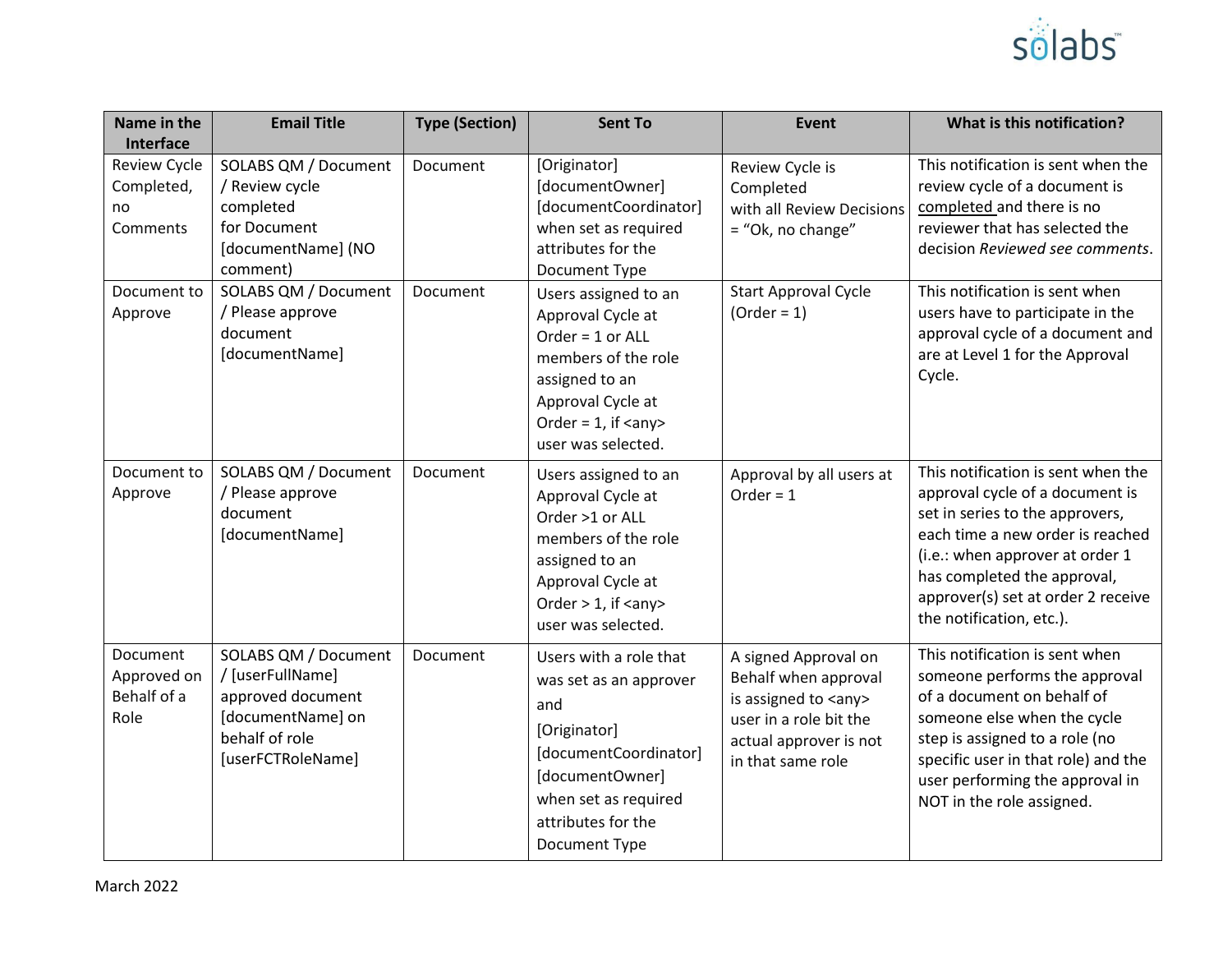

| Name in the<br>Interface                            | <b>Email Title</b>                                                                                                        | <b>Type (Section)</b> | <b>Sent To</b>                                                                                                                                                                         | Event                                                                                                                                                  | What is this notification?                                                                                                                                                                                                                                                       |
|-----------------------------------------------------|---------------------------------------------------------------------------------------------------------------------------|-----------------------|----------------------------------------------------------------------------------------------------------------------------------------------------------------------------------------|--------------------------------------------------------------------------------------------------------------------------------------------------------|----------------------------------------------------------------------------------------------------------------------------------------------------------------------------------------------------------------------------------------------------------------------------------|
| <b>Review Cycle</b><br>Completed,<br>no<br>Comments | SOLABS QM / Document<br>/ Review cycle<br>completed<br>for Document<br>[documentName] (NO<br>comment)                     | Document              | [Originator]<br>[documentOwner]<br>[documentCoordinator]<br>when set as required<br>attributes for the<br>Document Type                                                                | Review Cycle is<br>Completed<br>with all Review Decisions<br>= "Ok, no change"                                                                         | This notification is sent when the<br>review cycle of a document is<br>completed and there is no<br>reviewer that has selected the<br>decision Reviewed see comments.                                                                                                            |
| Document to<br>Approve                              | SOLABS QM / Document<br>/ Please approve<br>document<br>[documentName]                                                    | Document              | Users assigned to an<br>Approval Cycle at<br>Order = 1 or ALL<br>members of the role<br>assigned to an<br>Approval Cycle at<br>Order = $1$ , if <any><br/>user was selected.</any>     | <b>Start Approval Cycle</b><br>$(Order = 1)$                                                                                                           | This notification is sent when<br>users have to participate in the<br>approval cycle of a document and<br>are at Level 1 for the Approval<br>Cycle.                                                                                                                              |
| Document to<br>Approve                              | SOLABS QM / Document<br>/ Please approve<br>document<br>[documentName]                                                    | Document              | Users assigned to an<br>Approval Cycle at<br>Order >1 or ALL<br>members of the role<br>assigned to an<br>Approval Cycle at<br>Order $> 1$ , if $\langle$ any $>$<br>user was selected. | Approval by all users at<br>Order = $1$                                                                                                                | This notification is sent when the<br>approval cycle of a document is<br>set in series to the approvers,<br>each time a new order is reached<br>(i.e.: when approver at order 1<br>has completed the approval,<br>approver(s) set at order 2 receive<br>the notification, etc.). |
| Document<br>Approved on<br>Behalf of a<br>Role      | SOLABS QM / Document<br>/ [userFullName]<br>approved document<br>[documentName] on<br>behalf of role<br>[userFCTRoleName] | Document              | Users with a role that<br>was set as an approver<br>and<br>[Originator]<br>[documentCoordinator]<br>[documentOwner]<br>when set as required<br>attributes for the<br>Document Type     | A signed Approval on<br>Behalf when approval<br>is assigned to <any><br/>user in a role bit the<br/>actual approver is not<br/>in that same role</any> | This notification is sent when<br>someone performs the approval<br>of a document on behalf of<br>someone else when the cycle<br>step is assigned to a role (no<br>specific user in that role) and the<br>user performing the approval in<br>NOT in the role assigned.            |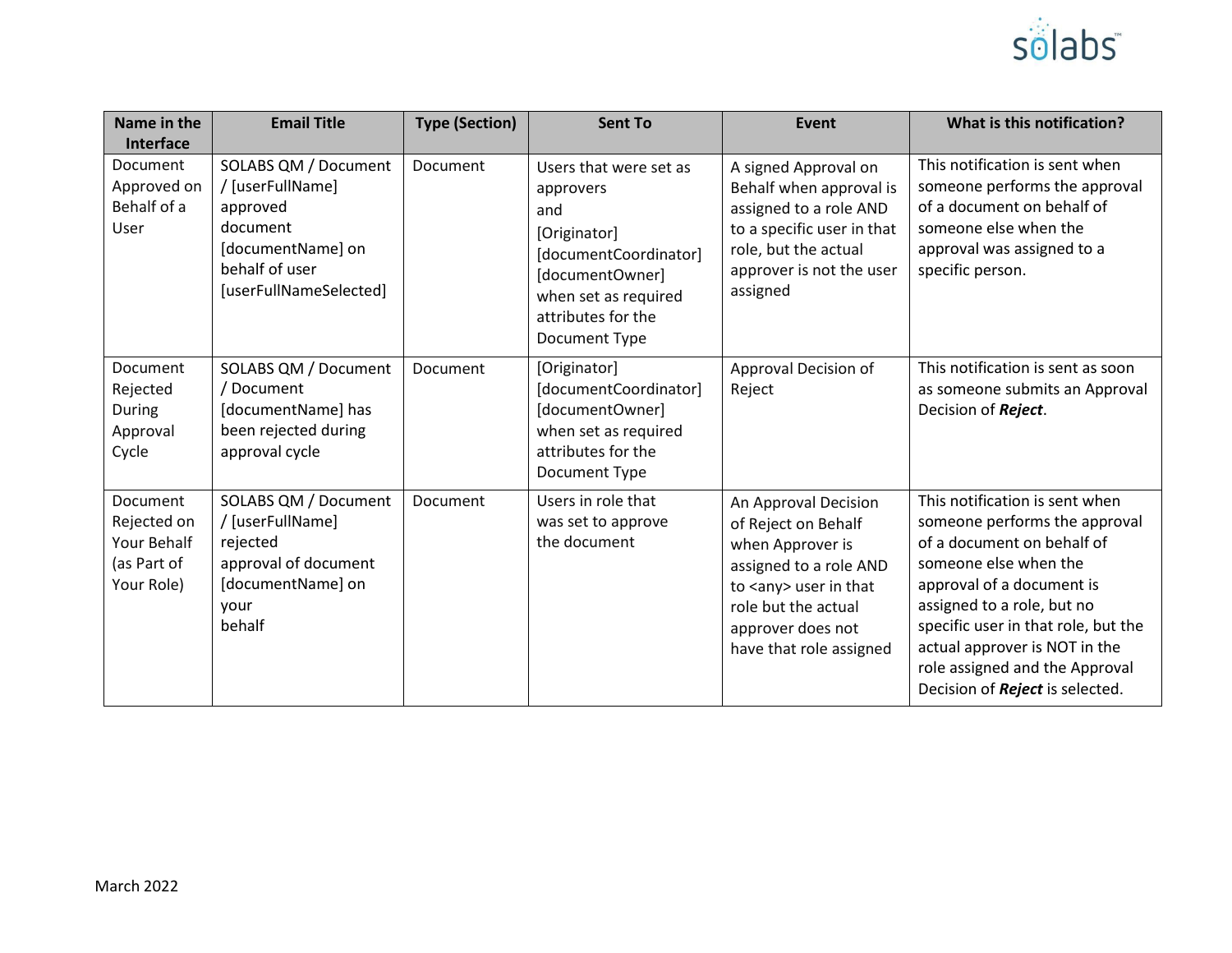

| Name in the<br>Interface                                            | <b>Email Title</b>                                                                                                                | <b>Type (Section)</b> | <b>Sent To</b>                                                                                                                                                        | <b>Event</b>                                                                                                                                                                                       | What is this notification?                                                                                                                                                                                                                                                                                                     |
|---------------------------------------------------------------------|-----------------------------------------------------------------------------------------------------------------------------------|-----------------------|-----------------------------------------------------------------------------------------------------------------------------------------------------------------------|----------------------------------------------------------------------------------------------------------------------------------------------------------------------------------------------------|--------------------------------------------------------------------------------------------------------------------------------------------------------------------------------------------------------------------------------------------------------------------------------------------------------------------------------|
| <b>Document</b><br>Approved on<br>Behalf of a<br>User               | SOLABS QM / Document<br>/ [userFullName]<br>approved<br>document<br>[documentName] on<br>behalf of user<br>[userFullNameSelected] | Document              | Users that were set as<br>approvers<br>and<br>[Originator]<br>[documentCoordinator]<br>[documentOwner]<br>when set as required<br>attributes for the<br>Document Type | A signed Approval on<br>Behalf when approval is<br>assigned to a role AND<br>to a specific user in that<br>role, but the actual<br>approver is not the user<br>assigned                            | This notification is sent when<br>someone performs the approval<br>of a document on behalf of<br>someone else when the<br>approval was assigned to a<br>specific person.                                                                                                                                                       |
| Document<br>Rejected<br>During<br>Approval<br>Cycle                 | SOLABS QM / Document<br>/ Document<br>[documentName] has<br>been rejected during<br>approval cycle                                | Document              | [Originator]<br>[documentCoordinator]<br>[documentOwner]<br>when set as required<br>attributes for the<br>Document Type                                               | Approval Decision of<br>Reject                                                                                                                                                                     | This notification is sent as soon<br>as someone submits an Approval<br>Decision of Reject.                                                                                                                                                                                                                                     |
| Document<br>Rejected on<br>Your Behalf<br>(as Part of<br>Your Role) | SOLABS QM / Document<br>/ [userFullName]<br>rejected<br>approval of document<br>[documentName] on<br>vour<br>behalf               | Document              | Users in role that<br>was set to approve<br>the document                                                                                                              | An Approval Decision<br>of Reject on Behalf<br>when Approver is<br>assigned to a role AND<br>to <any> user in that<br/>role but the actual<br/>approver does not<br/>have that role assigned</any> | This notification is sent when<br>someone performs the approval<br>of a document on behalf of<br>someone else when the<br>approval of a document is<br>assigned to a role, but no<br>specific user in that role, but the<br>actual approver is NOT in the<br>role assigned and the Approval<br>Decision of Reject is selected. |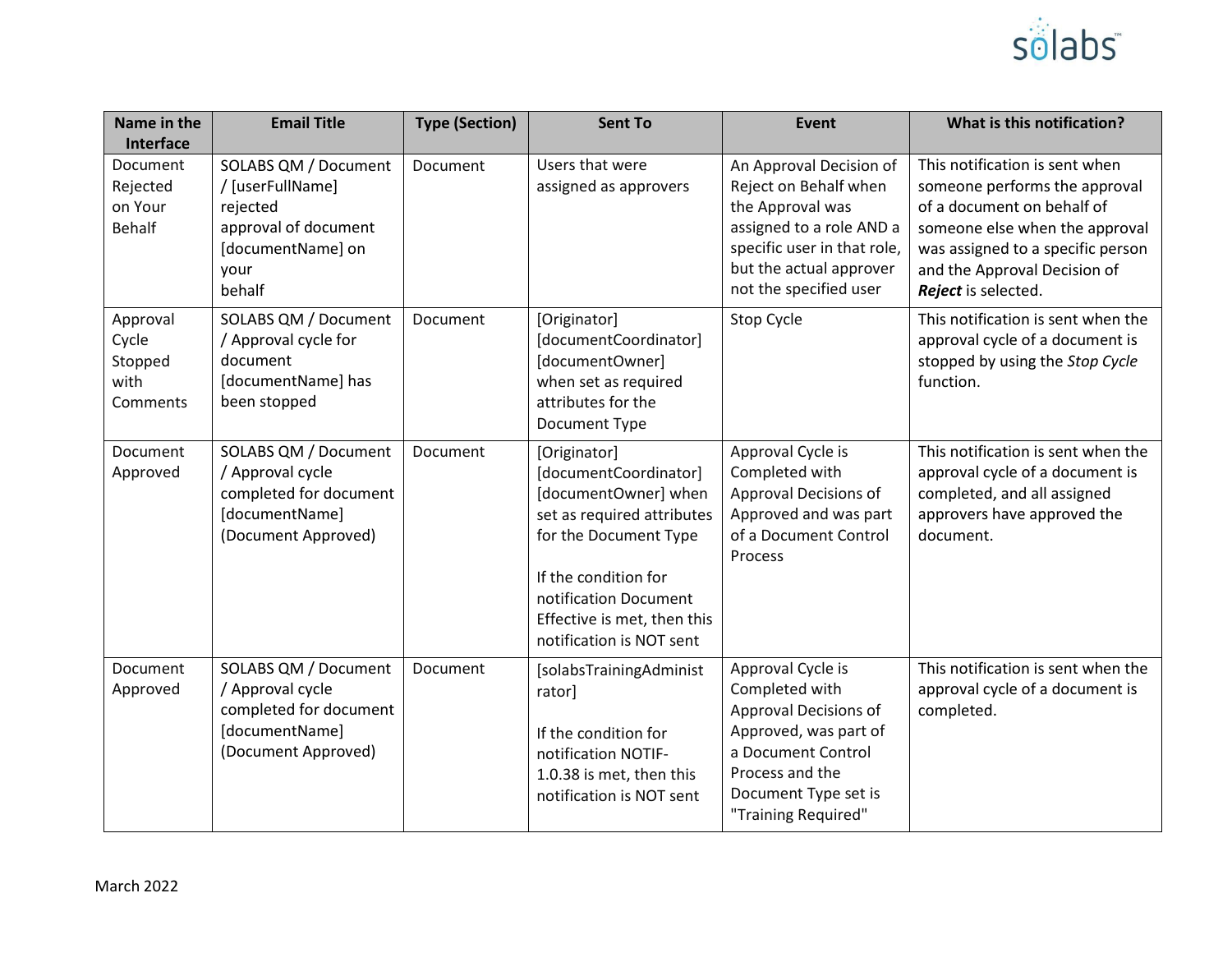

| Name in the<br>Interface                         | <b>Email Title</b>                                                                                                  | <b>Type (Section)</b> | <b>Sent To</b>                                                                                                                                                                                                                   | Event                                                                                                                                                                                | What is this notification?                                                                                                                                                                                                  |
|--------------------------------------------------|---------------------------------------------------------------------------------------------------------------------|-----------------------|----------------------------------------------------------------------------------------------------------------------------------------------------------------------------------------------------------------------------------|--------------------------------------------------------------------------------------------------------------------------------------------------------------------------------------|-----------------------------------------------------------------------------------------------------------------------------------------------------------------------------------------------------------------------------|
| Document<br>Rejected<br>on Your<br><b>Behalf</b> | SOLABS QM / Document<br>/ [userFullName]<br>rejected<br>approval of document<br>[documentName] on<br>your<br>behalf | Document              | Users that were<br>assigned as approvers                                                                                                                                                                                         | An Approval Decision of<br>Reject on Behalf when<br>the Approval was<br>assigned to a role AND a<br>specific user in that role,<br>but the actual approver<br>not the specified user | This notification is sent when<br>someone performs the approval<br>of a document on behalf of<br>someone else when the approval<br>was assigned to a specific person<br>and the Approval Decision of<br>Reject is selected. |
| Approval<br>Cycle<br>Stopped<br>with<br>Comments | SOLABS QM / Document<br>/ Approval cycle for<br>document<br>[documentName] has<br>been stopped                      | Document              | [Originator]<br>[documentCoordinator]<br>[documentOwner]<br>when set as required<br>attributes for the<br>Document Type                                                                                                          | Stop Cycle                                                                                                                                                                           | This notification is sent when the<br>approval cycle of a document is<br>stopped by using the Stop Cycle<br>function.                                                                                                       |
| Document<br>Approved                             | SOLABS QM / Document<br>/ Approval cycle<br>completed for document<br>[documentName]<br>(Document Approved)         | Document              | [Originator]<br>[documentCoordinator]<br>[documentOwner] when<br>set as required attributes<br>for the Document Type<br>If the condition for<br>notification Document<br>Effective is met, then this<br>notification is NOT sent | Approval Cycle is<br>Completed with<br>Approval Decisions of<br>Approved and was part<br>of a Document Control<br>Process                                                            | This notification is sent when the<br>approval cycle of a document is<br>completed, and all assigned<br>approvers have approved the<br>document.                                                                            |
| Document<br>Approved                             | SOLABS QM / Document<br>/ Approval cycle<br>completed for document<br>[documentName]<br>(Document Approved)         | Document              | [solabsTrainingAdminist<br>rator]<br>If the condition for<br>notification NOTIF-<br>1.0.38 is met, then this<br>notification is NOT sent                                                                                         | Approval Cycle is<br>Completed with<br>Approval Decisions of<br>Approved, was part of<br>a Document Control<br>Process and the<br>Document Type set is<br>"Training Required"        | This notification is sent when the<br>approval cycle of a document is<br>completed.                                                                                                                                         |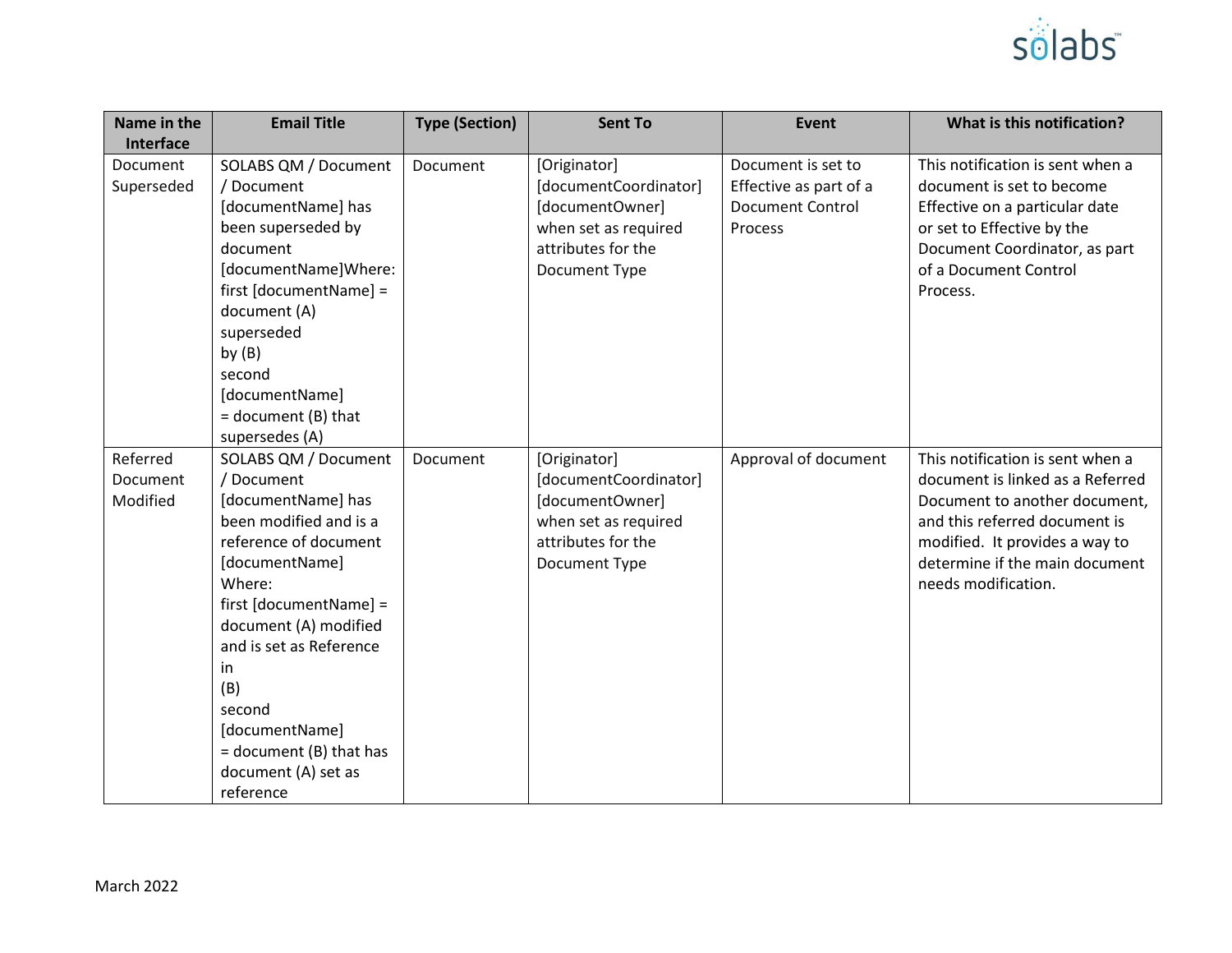

| Name in the<br>Interface         | <b>Email Title</b>                                                                                                                                                                                                                                                                                                            | <b>Type (Section)</b> | <b>Sent To</b>                                                                                                          | Event                                                                              | What is this notification?                                                                                                                                                                                                        |
|----------------------------------|-------------------------------------------------------------------------------------------------------------------------------------------------------------------------------------------------------------------------------------------------------------------------------------------------------------------------------|-----------------------|-------------------------------------------------------------------------------------------------------------------------|------------------------------------------------------------------------------------|-----------------------------------------------------------------------------------------------------------------------------------------------------------------------------------------------------------------------------------|
| Document<br>Superseded           | SOLABS QM / Document<br>/ Document<br>[documentName] has<br>been superseded by<br>document<br>[documentName]Where:<br>first [documentName] =<br>document (A)<br>superseded<br>by $(B)$<br>second<br>[documentName]<br>$=$ document (B) that<br>supersedes (A)                                                                 | Document              | [Originator]<br>[documentCoordinator]<br>[documentOwner]<br>when set as required<br>attributes for the<br>Document Type | Document is set to<br>Effective as part of a<br><b>Document Control</b><br>Process | This notification is sent when a<br>document is set to become<br>Effective on a particular date<br>or set to Effective by the<br>Document Coordinator, as part<br>of a Document Control<br>Process.                               |
| Referred<br>Document<br>Modified | SOLABS QM / Document<br>/ Document<br>[documentName] has<br>been modified and is a<br>reference of document<br>[documentName]<br>Where:<br>first [documentName] =<br>document (A) modified<br>and is set as Reference<br>in<br>(B)<br>second<br>[documentName]<br>= document (B) that has<br>document (A) set as<br>reference | Document              | [Originator]<br>[documentCoordinator]<br>[documentOwner]<br>when set as required<br>attributes for the<br>Document Type | Approval of document                                                               | This notification is sent when a<br>document is linked as a Referred<br>Document to another document,<br>and this referred document is<br>modified. It provides a way to<br>determine if the main document<br>needs modification. |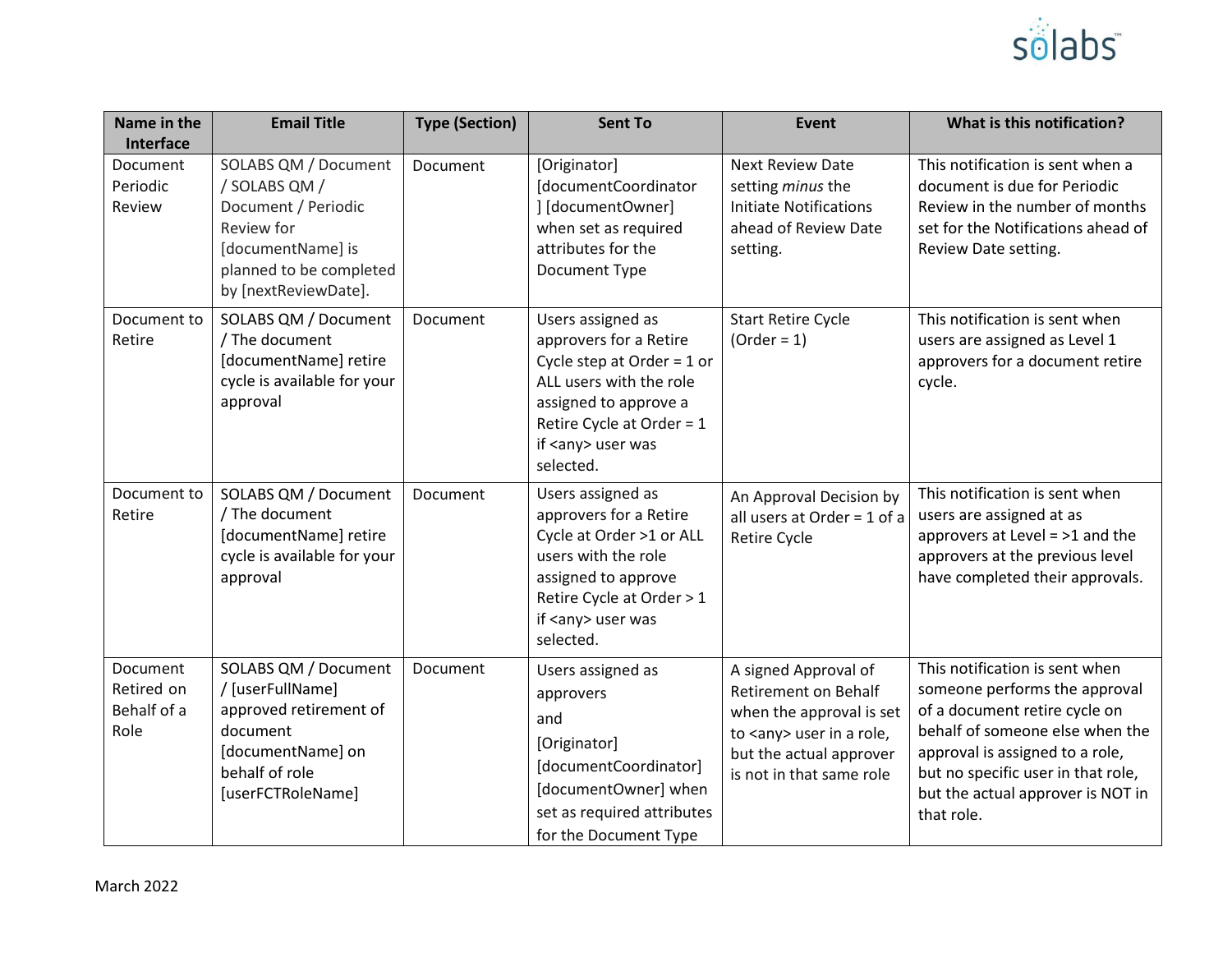

| Name in the<br>Interface                      | <b>Email Title</b>                                                                                                                                 | <b>Type (Section)</b> | <b>Sent To</b>                                                                                                                                                                                        | Event                                                                                                                                                                      | What is this notification?                                                                                                                                                                                                                                      |
|-----------------------------------------------|----------------------------------------------------------------------------------------------------------------------------------------------------|-----------------------|-------------------------------------------------------------------------------------------------------------------------------------------------------------------------------------------------------|----------------------------------------------------------------------------------------------------------------------------------------------------------------------------|-----------------------------------------------------------------------------------------------------------------------------------------------------------------------------------------------------------------------------------------------------------------|
| Document<br>Periodic<br>Review                | SOLABS QM / Document<br>/ SOLABS QM /<br>Document / Periodic<br>Review for<br>[documentName] is<br>planned to be completed<br>by [nextReviewDate]. | Document              | [Originator]<br>[documentCoordinator<br>] [documentOwner]<br>when set as required<br>attributes for the<br>Document Type                                                                              | <b>Next Review Date</b><br>setting minus the<br><b>Initiate Notifications</b><br>ahead of Review Date<br>setting.                                                          | This notification is sent when a<br>document is due for Periodic<br>Review in the number of months<br>set for the Notifications ahead of<br>Review Date setting.                                                                                                |
| Document to<br>Retire                         | SOLABS QM / Document<br>/ The document<br>[documentName] retire<br>cycle is available for your<br>approval                                         | Document              | Users assigned as<br>approvers for a Retire<br>Cycle step at Order = $1$ or<br>ALL users with the role<br>assigned to approve a<br>Retire Cycle at Order = 1<br>if <any> user was<br/>selected.</any> | <b>Start Retire Cycle</b><br>$(Order = 1)$                                                                                                                                 | This notification is sent when<br>users are assigned as Level 1<br>approvers for a document retire<br>cycle.                                                                                                                                                    |
| Document to<br>Retire                         | SOLABS QM / Document<br>/ The document<br>[documentName] retire<br>cycle is available for your<br>approval                                         | Document              | Users assigned as<br>approvers for a Retire<br>Cycle at Order >1 or ALL<br>users with the role<br>assigned to approve<br>Retire Cycle at Order > 1<br>if <any> user was<br/>selected.</any>           | An Approval Decision by<br>all users at Order = $1$ of a<br><b>Retire Cycle</b>                                                                                            | This notification is sent when<br>users are assigned at as<br>approvers at Level $=$ >1 and the<br>approvers at the previous level<br>have completed their approvals.                                                                                           |
| Document<br>Retired on<br>Behalf of a<br>Role | SOLABS QM / Document<br>/ [userFullName]<br>approved retirement of<br>document<br>[documentName] on<br>behalf of role<br>[userFCTRoleName]         | Document              | Users assigned as<br>approvers<br>and<br>[Originator]<br>[documentCoordinator]<br>[documentOwner] when<br>set as required attributes<br>for the Document Type                                         | A signed Approval of<br><b>Retirement on Behalf</b><br>when the approval is set<br>to <any> user in a role,<br/>but the actual approver<br/>is not in that same role</any> | This notification is sent when<br>someone performs the approval<br>of a document retire cycle on<br>behalf of someone else when the<br>approval is assigned to a role,<br>but no specific user in that role,<br>but the actual approver is NOT in<br>that role. |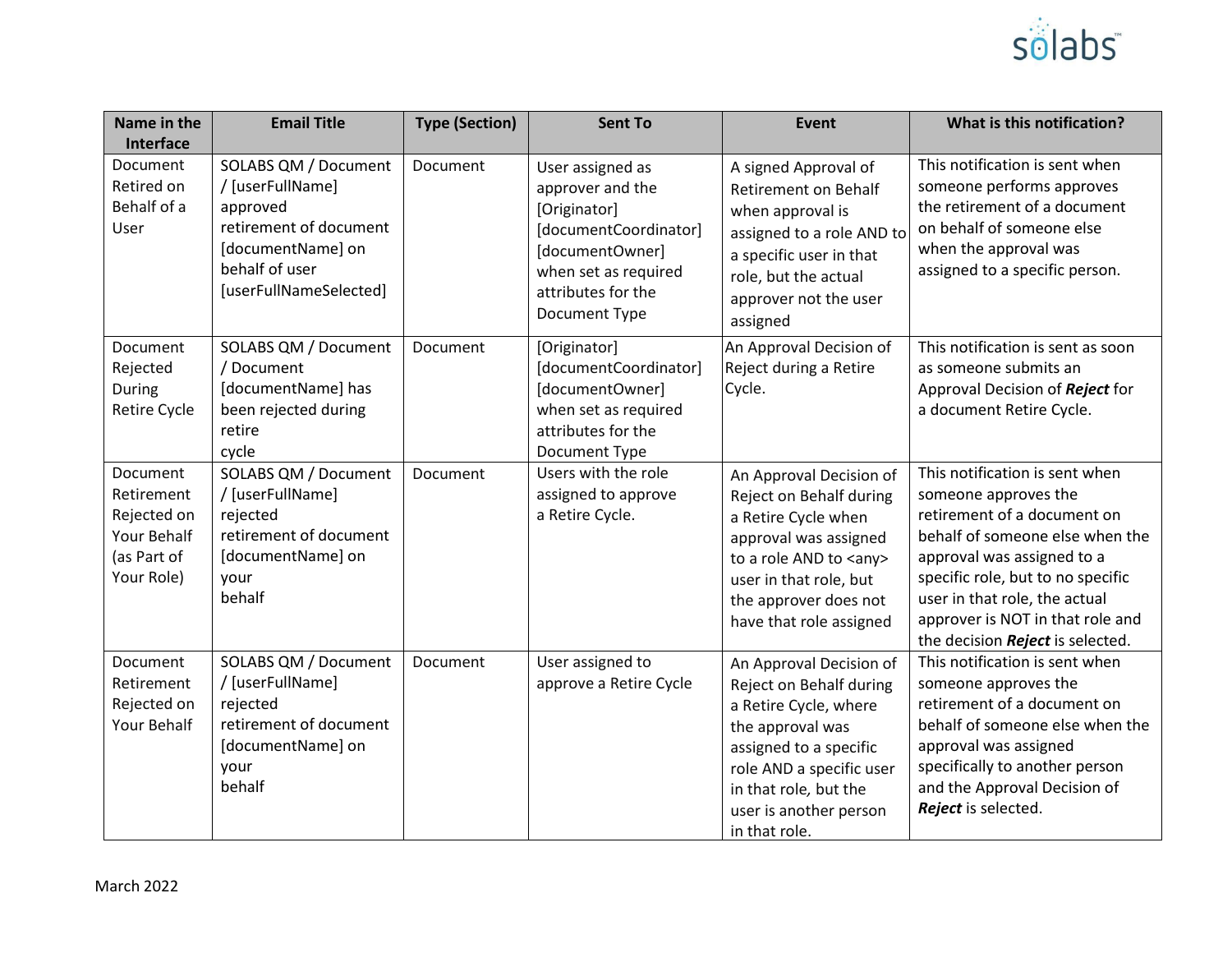

| Name in the<br>Interface                                                          | <b>Email Title</b>                                                                                                                              | <b>Type (Section)</b> | <b>Sent To</b>                                                                                                                                                  | Event                                                                                                                                                                                                                     | What is this notification?                                                                                                                                                                                                                                                                           |
|-----------------------------------------------------------------------------------|-------------------------------------------------------------------------------------------------------------------------------------------------|-----------------------|-----------------------------------------------------------------------------------------------------------------------------------------------------------------|---------------------------------------------------------------------------------------------------------------------------------------------------------------------------------------------------------------------------|------------------------------------------------------------------------------------------------------------------------------------------------------------------------------------------------------------------------------------------------------------------------------------------------------|
| Document<br>Retired on<br>Behalf of a<br>User                                     | SOLABS QM / Document<br>/ [userFullName]<br>approved<br>retirement of document<br>[documentName] on<br>behalf of user<br>[userFullNameSelected] | Document              | User assigned as<br>approver and the<br>[Originator]<br>[documentCoordinator]<br>[documentOwner]<br>when set as required<br>attributes for the<br>Document Type | A signed Approval of<br><b>Retirement on Behalf</b><br>when approval is<br>assigned to a role AND to<br>a specific user in that<br>role, but the actual<br>approver not the user<br>assigned                              | This notification is sent when<br>someone performs approves<br>the retirement of a document<br>on behalf of someone else<br>when the approval was<br>assigned to a specific person.                                                                                                                  |
| Document<br>Rejected<br>During<br>Retire Cycle                                    | SOLABS QM / Document<br>/ Document<br>[documentName] has<br>been rejected during<br>retire<br>cycle                                             | Document              | [Originator]<br>[documentCoordinator]<br>[documentOwner]<br>when set as required<br>attributes for the<br>Document Type                                         | An Approval Decision of<br>Reject during a Retire<br>Cycle.                                                                                                                                                               | This notification is sent as soon<br>as someone submits an<br>Approval Decision of Reject for<br>a document Retire Cycle.                                                                                                                                                                            |
| Document<br>Retirement<br>Rejected on<br>Your Behalf<br>(as Part of<br>Your Role) | SOLABS QM / Document<br>/ [userFullName]<br>rejected<br>retirement of document<br>[documentName] on<br>your<br>behalf                           | Document              | Users with the role<br>assigned to approve<br>a Retire Cycle.                                                                                                   | An Approval Decision of<br>Reject on Behalf during<br>a Retire Cycle when<br>approval was assigned<br>to a role AND to <any><br/>user in that role, but<br/>the approver does not<br/>have that role assigned</any>       | This notification is sent when<br>someone approves the<br>retirement of a document on<br>behalf of someone else when the<br>approval was assigned to a<br>specific role, but to no specific<br>user in that role, the actual<br>approver is NOT in that role and<br>the decision Reject is selected. |
| Document<br>Retirement<br>Rejected on<br>Your Behalf                              | SOLABS QM / Document<br>/ [userFullName]<br>rejected<br>retirement of document<br>[documentName] on<br>your<br>behalf                           | Document              | User assigned to<br>approve a Retire Cycle                                                                                                                      | An Approval Decision of<br>Reject on Behalf during<br>a Retire Cycle, where<br>the approval was<br>assigned to a specific<br>role AND a specific user<br>in that role, but the<br>user is another person<br>in that role. | This notification is sent when<br>someone approves the<br>retirement of a document on<br>behalf of someone else when the<br>approval was assigned<br>specifically to another person<br>and the Approval Decision of<br>Reject is selected.                                                           |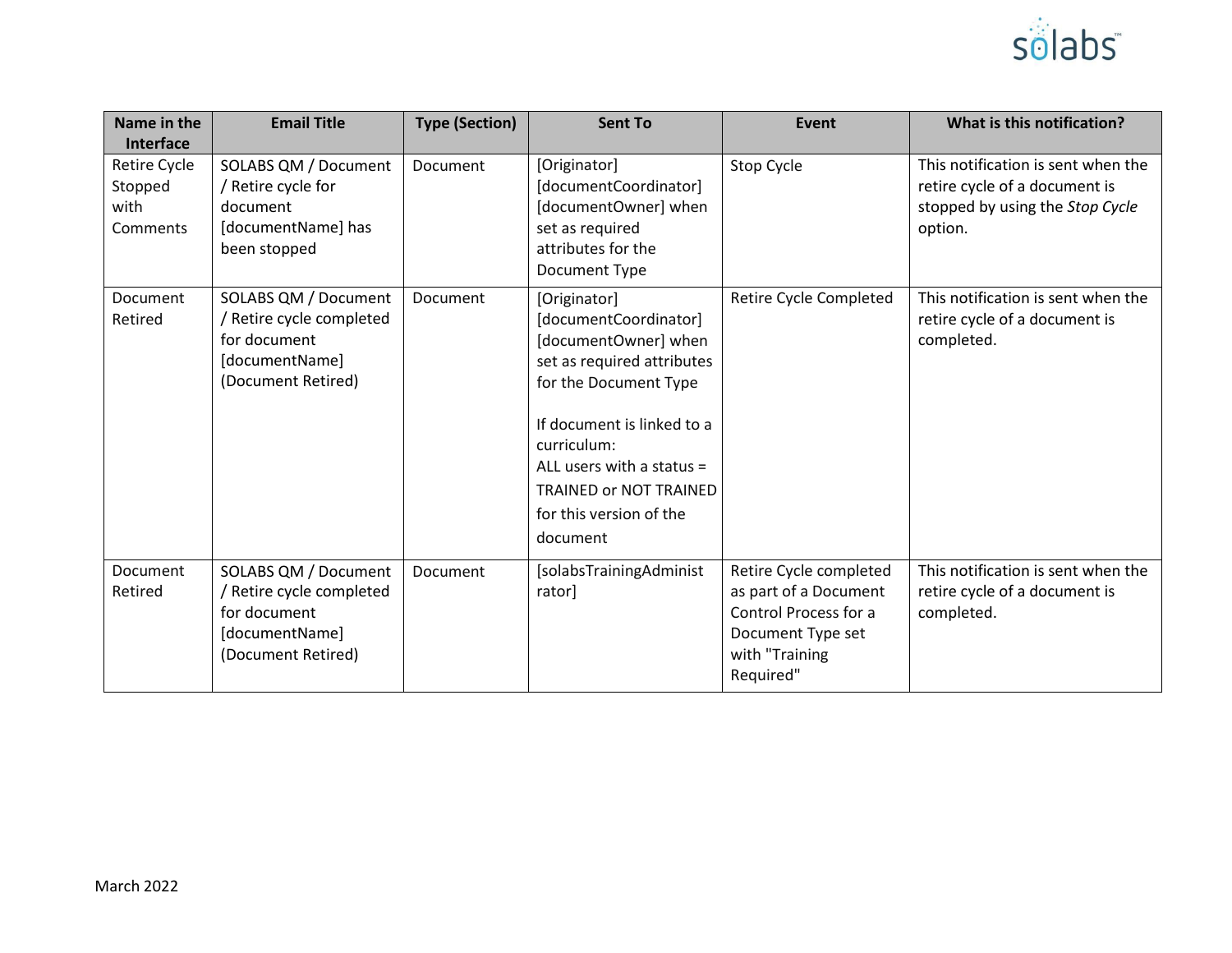

| Name in the<br><b>Interface</b>                    | <b>Email Title</b>                                                                                       | <b>Type (Section)</b> | <b>Sent To</b>                                                                                                                                                                                                                                                           | <b>Event</b>                                                                                                                 | What is this notification?                                                                                        |
|----------------------------------------------------|----------------------------------------------------------------------------------------------------------|-----------------------|--------------------------------------------------------------------------------------------------------------------------------------------------------------------------------------------------------------------------------------------------------------------------|------------------------------------------------------------------------------------------------------------------------------|-------------------------------------------------------------------------------------------------------------------|
| <b>Retire Cycle</b><br>Stopped<br>with<br>Comments | SOLABS QM / Document<br>/ Retire cycle for<br>document<br>[documentName] has<br>been stopped             | Document              | [Originator]<br>[documentCoordinator]<br>[documentOwner] when<br>set as required<br>attributes for the<br>Document Type                                                                                                                                                  | Stop Cycle                                                                                                                   | This notification is sent when the<br>retire cycle of a document is<br>stopped by using the Stop Cycle<br>option. |
| <b>Document</b><br>Retired                         | SOLABS QM / Document<br>/ Retire cycle completed<br>for document<br>[documentName]<br>(Document Retired) | <b>Document</b>       | [Originator]<br>[documentCoordinator]<br>[documentOwner] when<br>set as required attributes<br>for the Document Type<br>If document is linked to a<br>curriculum:<br>ALL users with a status $=$<br><b>TRAINED OF NOT TRAINED</b><br>for this version of the<br>document | Retire Cycle Completed                                                                                                       | This notification is sent when the<br>retire cycle of a document is<br>completed.                                 |
| Document<br>Retired                                | SOLABS QM / Document<br>/ Retire cycle completed<br>for document<br>[documentName]<br>(Document Retired) | Document              | [solabsTrainingAdminist<br>rator]                                                                                                                                                                                                                                        | Retire Cycle completed<br>as part of a Document<br>Control Process for a<br>Document Type set<br>with "Training<br>Required" | This notification is sent when the<br>retire cycle of a document is<br>completed.                                 |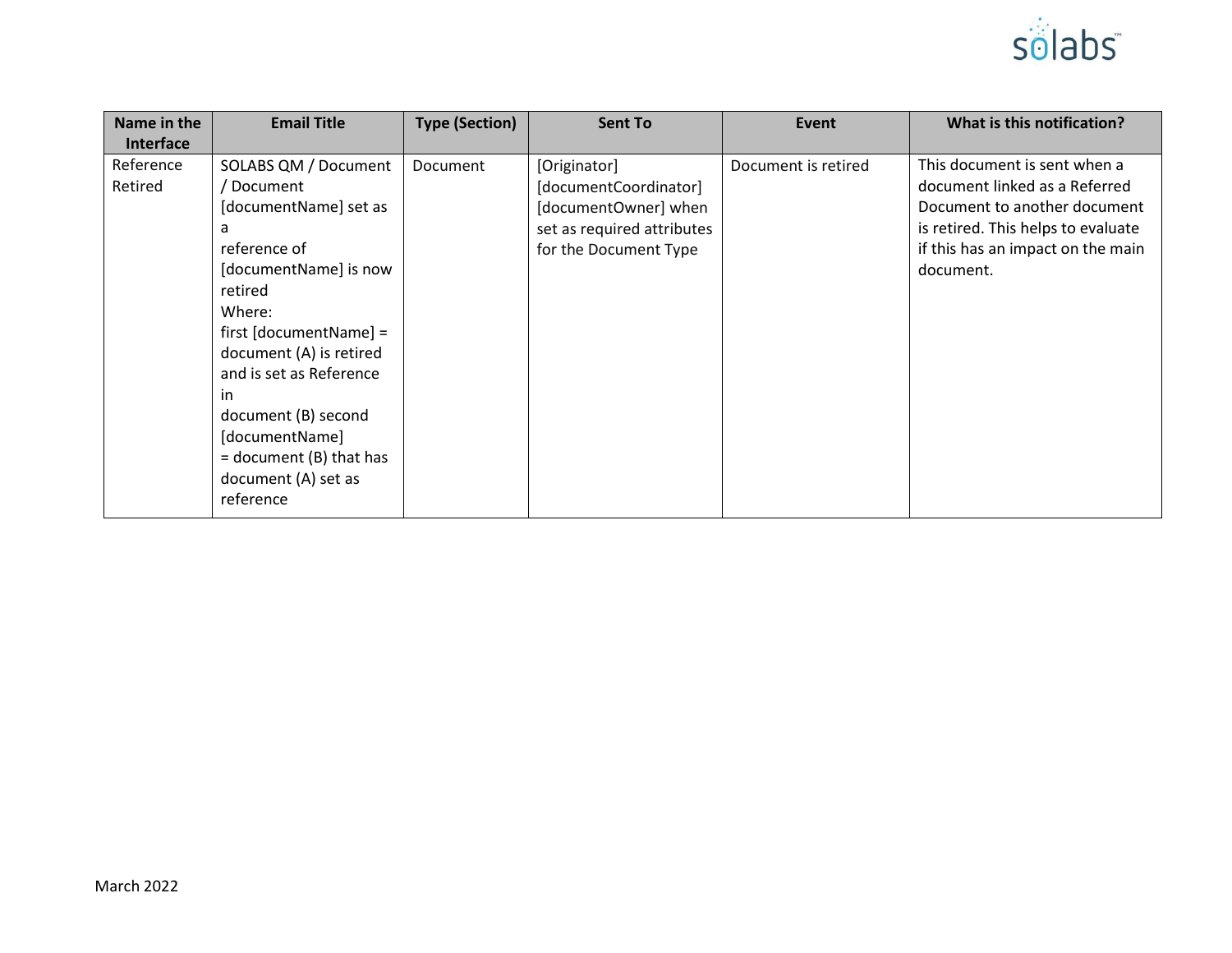

| Name in the      | <b>Email Title</b>        | <b>Type (Section)</b> | <b>Sent To</b>             | Event               | What is this notification?         |
|------------------|---------------------------|-----------------------|----------------------------|---------------------|------------------------------------|
| <b>Interface</b> |                           |                       |                            |                     |                                    |
| Reference        | SOLABS QM / Document      | Document              | [Originator]               | Document is retired | This document is sent when a       |
| Retired          | Document                  |                       | [documentCoordinator]      |                     | document linked as a Referred      |
|                  | [documentName] set as     |                       | [documentOwner] when       |                     | Document to another document       |
|                  | a                         |                       | set as required attributes |                     | is retired. This helps to evaluate |
|                  | reference of              |                       | for the Document Type      |                     | if this has an impact on the main  |
|                  | [documentName] is now     |                       |                            |                     | document.                          |
|                  | retired                   |                       |                            |                     |                                    |
|                  | Where:                    |                       |                            |                     |                                    |
|                  | $first [documentName] =$  |                       |                            |                     |                                    |
|                  | document (A) is retired   |                       |                            |                     |                                    |
|                  | and is set as Reference   |                       |                            |                     |                                    |
|                  | in                        |                       |                            |                     |                                    |
|                  | document (B) second       |                       |                            |                     |                                    |
|                  | [documentName]            |                       |                            |                     |                                    |
|                  | $=$ document (B) that has |                       |                            |                     |                                    |
|                  | document (A) set as       |                       |                            |                     |                                    |
|                  | reference                 |                       |                            |                     |                                    |
|                  |                           |                       |                            |                     |                                    |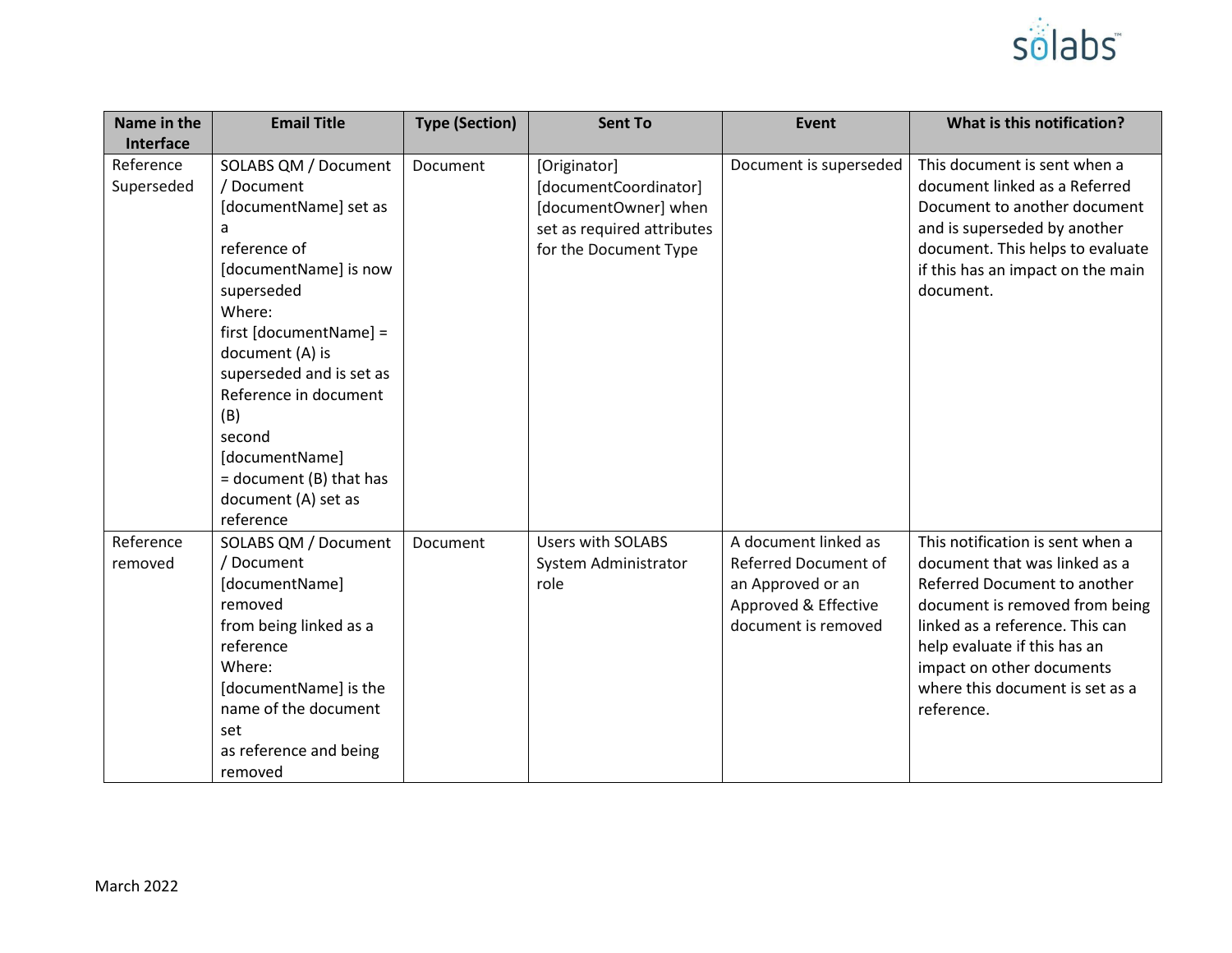

| Name in the                          | <b>Email Title</b>                                                                                                                                                                                                                                                                                                    | <b>Type (Section)</b> | <b>Sent To</b>                                                                                                       | Event                                                                                                            | What is this notification?                                                                                                                                                                                                                                                           |
|--------------------------------------|-----------------------------------------------------------------------------------------------------------------------------------------------------------------------------------------------------------------------------------------------------------------------------------------------------------------------|-----------------------|----------------------------------------------------------------------------------------------------------------------|------------------------------------------------------------------------------------------------------------------|--------------------------------------------------------------------------------------------------------------------------------------------------------------------------------------------------------------------------------------------------------------------------------------|
| Interface<br>Reference<br>Superseded | SOLABS QM / Document<br>/ Document<br>[documentName] set as<br>reference of<br>[documentName] is now<br>superseded<br>Where:<br>first [documentName] =<br>document (A) is<br>superseded and is set as<br>Reference in document<br>(B)<br>second<br>[documentName]<br>$=$ document (B) that has<br>document (A) set as | Document              | [Originator]<br>[documentCoordinator]<br>[documentOwner] when<br>set as required attributes<br>for the Document Type | Document is superseded                                                                                           | This document is sent when a<br>document linked as a Referred<br>Document to another document<br>and is superseded by another<br>document. This helps to evaluate<br>if this has an impact on the main<br>document.                                                                  |
| Reference<br>removed                 | reference<br>SOLABS QM / Document<br>/ Document<br>[documentName]<br>removed<br>from being linked as a<br>reference<br>Where:<br>[documentName] is the<br>name of the document<br>set<br>as reference and being<br>removed                                                                                            | Document              | <b>Users with SOLABS</b><br>System Administrator<br>role                                                             | A document linked as<br>Referred Document of<br>an Approved or an<br>Approved & Effective<br>document is removed | This notification is sent when a<br>document that was linked as a<br>Referred Document to another<br>document is removed from being<br>linked as a reference. This can<br>help evaluate if this has an<br>impact on other documents<br>where this document is set as a<br>reference. |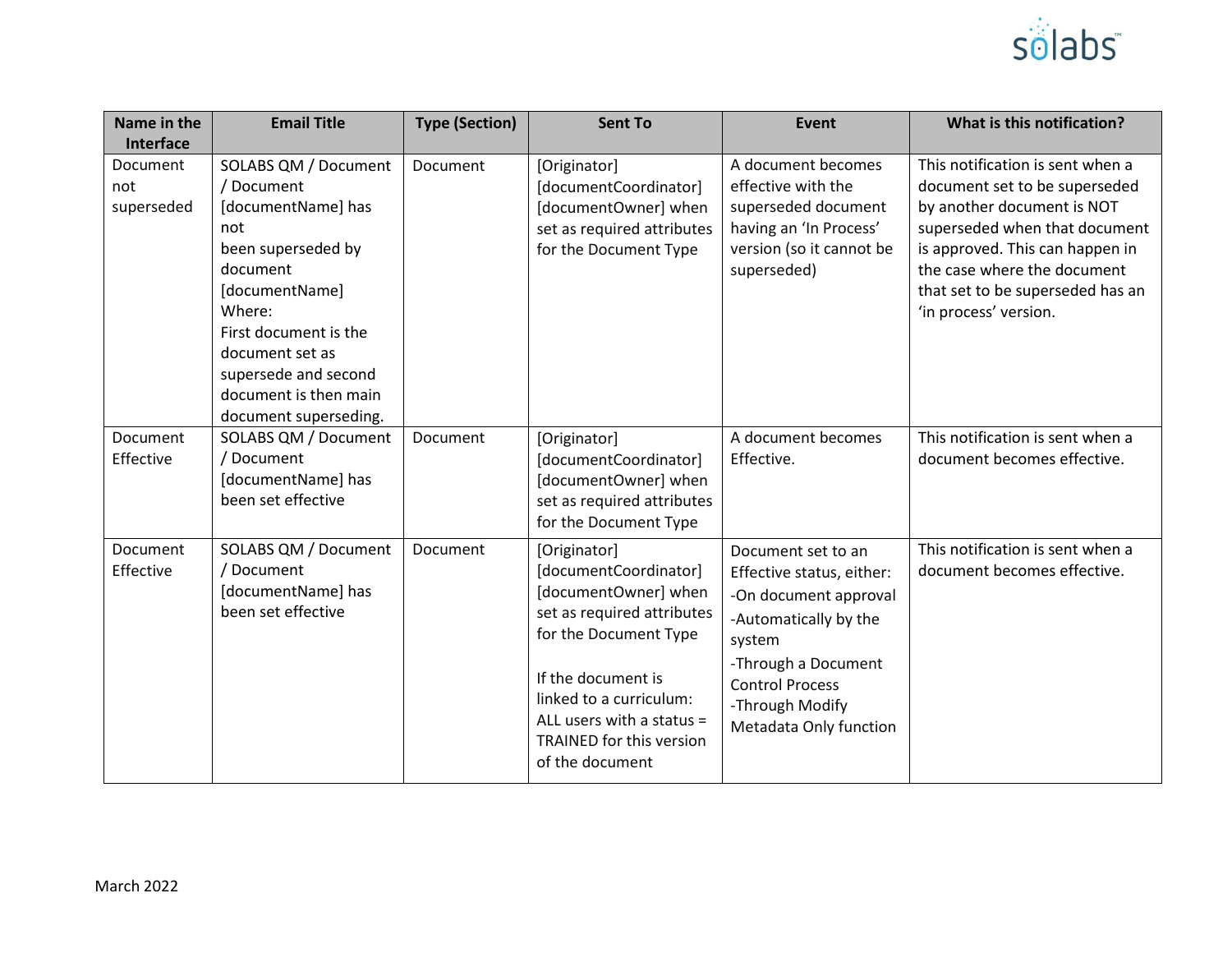

| Name in the<br>Interface      | <b>Email Title</b>                                                                                                                                                                                                                                  | <b>Type (Section)</b> | <b>Sent To</b>                                                                                                                                                                                                                                    | Event                                                                                                                                                                                                     | What is this notification?                                                                                                                                                                                                                                      |
|-------------------------------|-----------------------------------------------------------------------------------------------------------------------------------------------------------------------------------------------------------------------------------------------------|-----------------------|---------------------------------------------------------------------------------------------------------------------------------------------------------------------------------------------------------------------------------------------------|-----------------------------------------------------------------------------------------------------------------------------------------------------------------------------------------------------------|-----------------------------------------------------------------------------------------------------------------------------------------------------------------------------------------------------------------------------------------------------------------|
| Document<br>not<br>superseded | SOLABS QM / Document<br>/ Document<br>[documentName] has<br>not<br>been superseded by<br>document<br>[documentName]<br>Where:<br>First document is the<br>document set as<br>supersede and second<br>document is then main<br>document superseding. | Document              | [Originator]<br>[documentCoordinator]<br>[documentOwner] when<br>set as required attributes<br>for the Document Type                                                                                                                              | A document becomes<br>effective with the<br>superseded document<br>having an 'In Process'<br>version (so it cannot be<br>superseded)                                                                      | This notification is sent when a<br>document set to be superseded<br>by another document is NOT<br>superseded when that document<br>is approved. This can happen in<br>the case where the document<br>that set to be superseded has an<br>'in process' version. |
| Document<br>Effective         | SOLABS QM / Document<br>/ Document<br>[documentName] has<br>been set effective                                                                                                                                                                      | Document              | [Originator]<br>[documentCoordinator]<br>[documentOwner] when<br>set as required attributes<br>for the Document Type                                                                                                                              | A document becomes<br>Effective.                                                                                                                                                                          | This notification is sent when a<br>document becomes effective.                                                                                                                                                                                                 |
| Document<br>Effective         | SOLABS QM / Document<br>/ Document<br>[documentName] has<br>been set effective                                                                                                                                                                      | Document              | [Originator]<br>[documentCoordinator]<br>[documentOwner] when<br>set as required attributes<br>for the Document Type<br>If the document is<br>linked to a curriculum:<br>ALL users with a status =<br>TRAINED for this version<br>of the document | Document set to an<br>Effective status, either:<br>-On document approval<br>-Automatically by the<br>system<br>-Through a Document<br><b>Control Process</b><br>-Through Modify<br>Metadata Only function | This notification is sent when a<br>document becomes effective.                                                                                                                                                                                                 |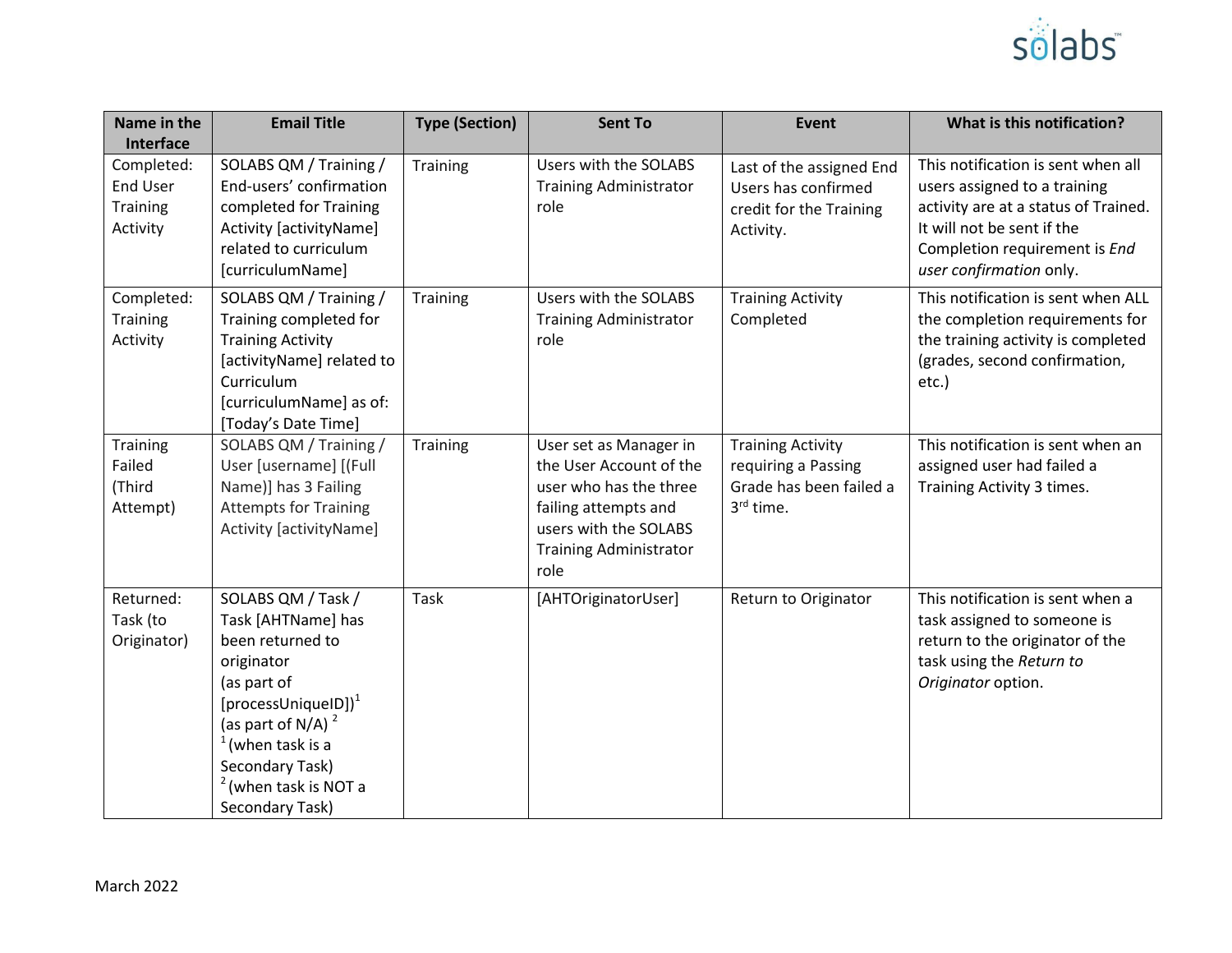

| Name in the<br>Interface                              | <b>Email Title</b>                                                                                                                                                                                                                                 | <b>Type (Section)</b> | <b>Sent To</b>                                                                                                                                                        | <b>Event</b>                                                                                        | What is this notification?                                                                                                                                                                           |
|-------------------------------------------------------|----------------------------------------------------------------------------------------------------------------------------------------------------------------------------------------------------------------------------------------------------|-----------------------|-----------------------------------------------------------------------------------------------------------------------------------------------------------------------|-----------------------------------------------------------------------------------------------------|------------------------------------------------------------------------------------------------------------------------------------------------------------------------------------------------------|
| Completed:<br><b>End User</b><br>Training<br>Activity | SOLABS QM / Training /<br>End-users' confirmation<br>completed for Training<br>Activity [activityName]<br>related to curriculum<br>[curriculumName]                                                                                                | <b>Training</b>       | Users with the SOLABS<br><b>Training Administrator</b><br>role                                                                                                        | Last of the assigned End<br>Users has confirmed<br>credit for the Training<br>Activity.             | This notification is sent when all<br>users assigned to a training<br>activity are at a status of Trained.<br>It will not be sent if the<br>Completion requirement is End<br>user confirmation only. |
| Completed:<br>Training<br>Activity                    | SOLABS QM / Training /<br>Training completed for<br><b>Training Activity</b><br>[activityName] related to<br>Curriculum<br>[curriculumName] as of:<br>[Today's Date Time]                                                                          | Training              | Users with the SOLABS<br><b>Training Administrator</b><br>role                                                                                                        | <b>Training Activity</b><br>Completed                                                               | This notification is sent when ALL<br>the completion requirements for<br>the training activity is completed<br>(grades, second confirmation,<br>etc.)                                                |
| Training<br>Failed<br>(Third<br>Attempt)              | SOLABS QM / Training /<br>User [username] [(Full<br>Name)] has 3 Failing<br><b>Attempts for Training</b><br>Activity [activityName]                                                                                                                | Training              | User set as Manager in<br>the User Account of the<br>user who has the three<br>failing attempts and<br>users with the SOLABS<br><b>Training Administrator</b><br>role | <b>Training Activity</b><br>requiring a Passing<br>Grade has been failed a<br>3 <sup>rd</sup> time. | This notification is sent when an<br>assigned user had failed a<br>Training Activity 3 times.                                                                                                        |
| Returned:<br>Task (to<br>Originator)                  | SOLABS QM / Task /<br>Task [AHTName] has<br>been returned to<br>originator<br>(as part of<br>[processUniqueID] $)^1$<br>(as part of N/A) <sup>2</sup><br>(when task is a<br>Secondary Task)<br><sup>2</sup> (when task is NOT a<br>Secondary Task) | Task                  | [AHTOriginatorUser]                                                                                                                                                   | Return to Originator                                                                                | This notification is sent when a<br>task assigned to someone is<br>return to the originator of the<br>task using the Return to<br>Originator option.                                                 |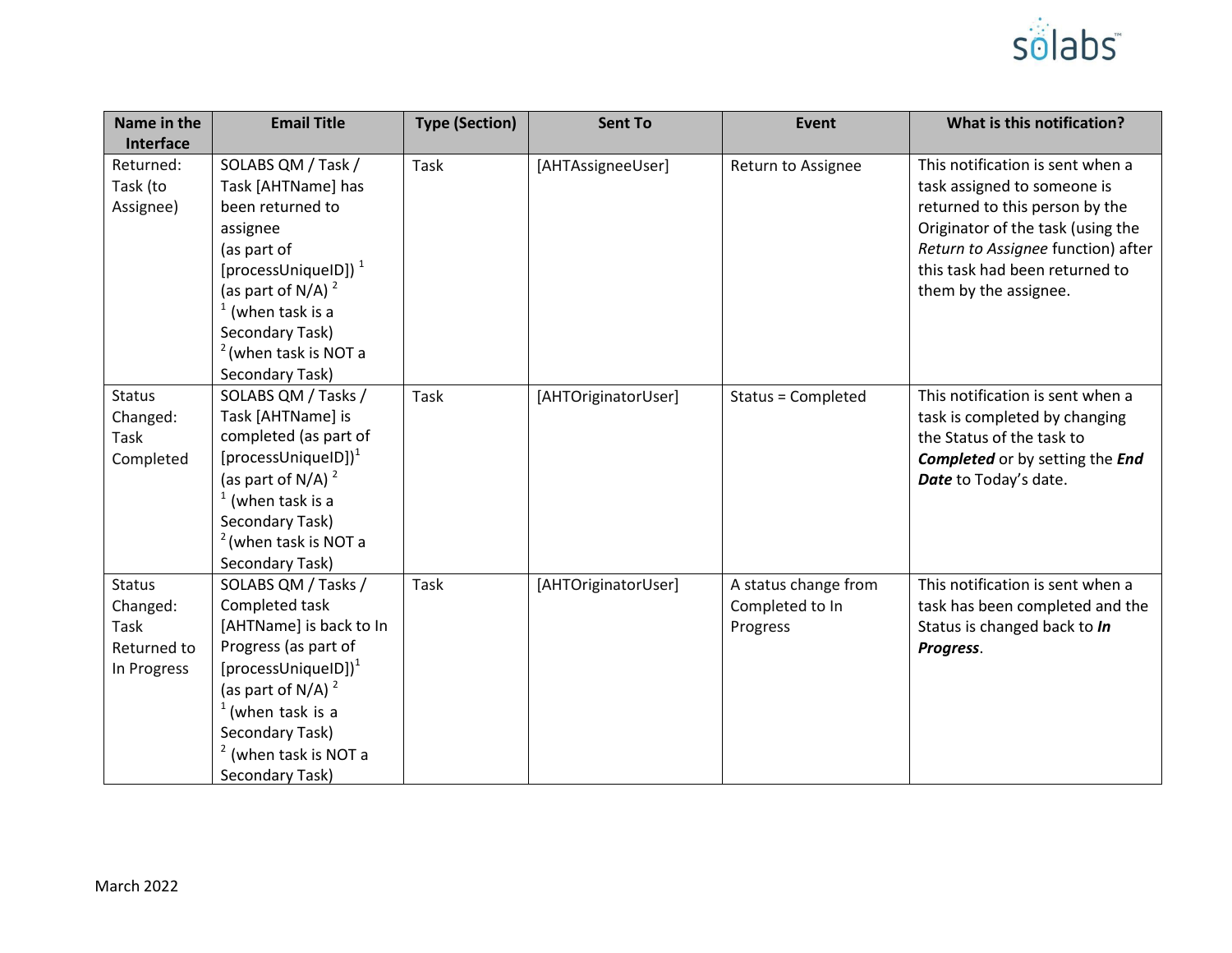

| Name in the<br>Interface                                        | <b>Email Title</b>                                                                                                                                                                                                                              | <b>Type (Section)</b> | <b>Sent To</b>      | Event                                               | What is this notification?                                                                                                                                                                                                              |
|-----------------------------------------------------------------|-------------------------------------------------------------------------------------------------------------------------------------------------------------------------------------------------------------------------------------------------|-----------------------|---------------------|-----------------------------------------------------|-----------------------------------------------------------------------------------------------------------------------------------------------------------------------------------------------------------------------------------------|
| Returned:<br>Task (to<br>Assignee)                              | SOLABS QM / Task /<br>Task [AHTName] has<br>been returned to<br>assignee<br>(as part of<br>[processUniquelD]) $1$<br>(as part of N/A) $^2$<br>(when task is a<br>Secondary Task)<br><sup>2</sup> (when task is NOT a<br>Secondary Task)         | Task                  | [AHTAssigneeUser]   | Return to Assignee                                  | This notification is sent when a<br>task assigned to someone is<br>returned to this person by the<br>Originator of the task (using the<br>Return to Assignee function) after<br>this task had been returned to<br>them by the assignee. |
| <b>Status</b><br>Changed:<br>Task<br>Completed                  | SOLABS QM / Tasks /<br>Task [AHTName] is<br>completed (as part of<br>[processUniqueID] $)^1$<br>(as part of N/A) $^2$<br>$1$ (when task is a<br>Secondary Task)<br>$2$ (when task is NOT a<br>Secondary Task)                                   | <b>Task</b>           | [AHTOriginatorUser] | Status = Completed                                  | This notification is sent when a<br>task is completed by changing<br>the Status of the task to<br><b>Completed</b> or by setting the <i>End</i><br>Date to Today's date.                                                                |
| <b>Status</b><br>Changed:<br>Task<br>Returned to<br>In Progress | SOLABS QM / Tasks /<br>Completed task<br>[AHTName] is back to In<br>Progress (as part of<br>[processUniqueID] $)^{1}$<br>(as part of N/A) $^2$<br>$1$ (when task is a<br>Secondary Task)<br><sup>2</sup> (when task is NOT a<br>Secondary Task) | Task                  | [AHTOriginatorUser] | A status change from<br>Completed to In<br>Progress | This notification is sent when a<br>task has been completed and the<br>Status is changed back to In<br>Progress.                                                                                                                        |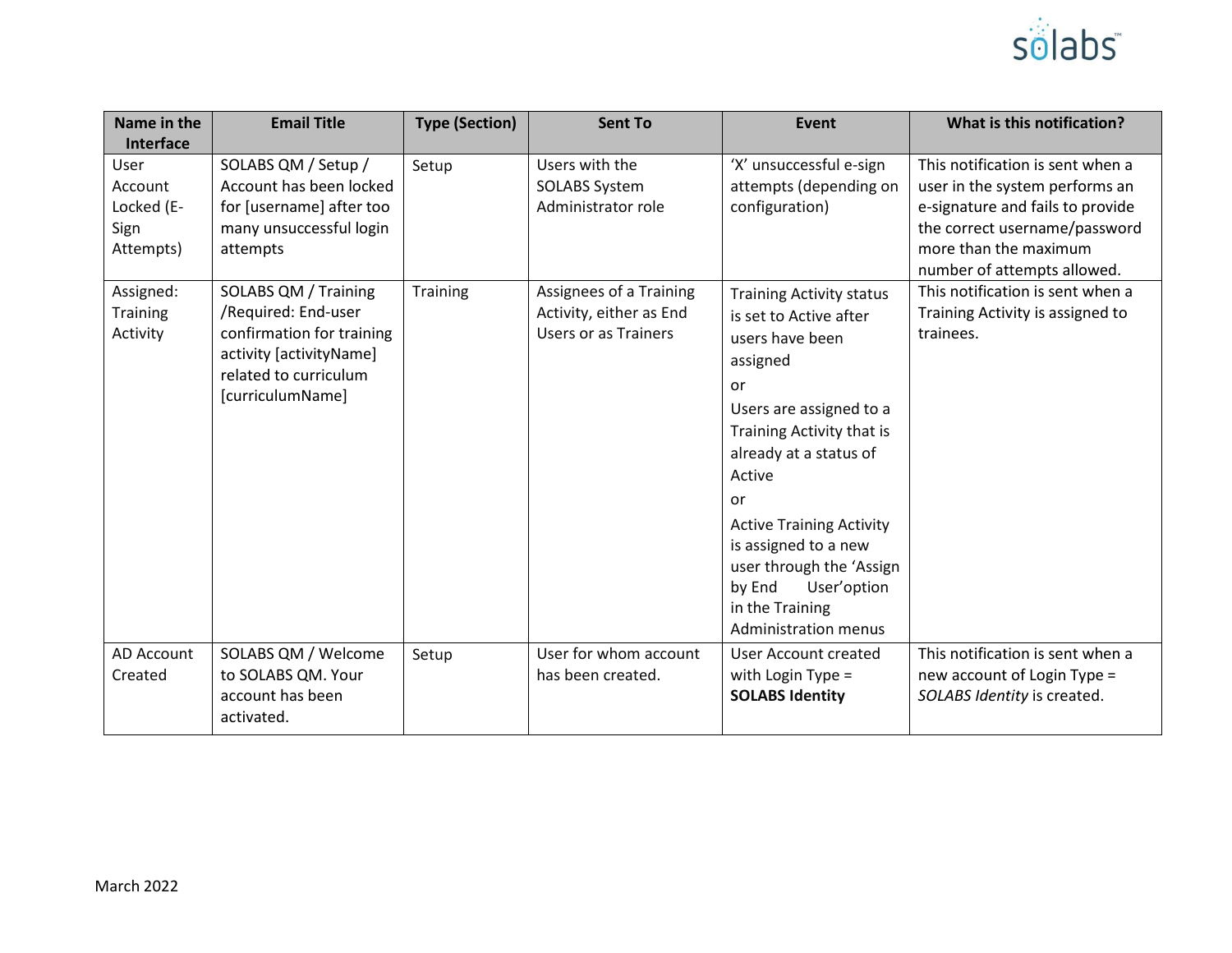

| Name in the<br>Interface                           | <b>Email Title</b>                                                                                                                               | <b>Type (Section)</b> | <b>Sent To</b>                                                                    | Event                                                                                                                                                                                                                                                                                                                                                              | What is this notification?                                                                                                                                                                      |
|----------------------------------------------------|--------------------------------------------------------------------------------------------------------------------------------------------------|-----------------------|-----------------------------------------------------------------------------------|--------------------------------------------------------------------------------------------------------------------------------------------------------------------------------------------------------------------------------------------------------------------------------------------------------------------------------------------------------------------|-------------------------------------------------------------------------------------------------------------------------------------------------------------------------------------------------|
| User<br>Account<br>Locked (E-<br>Sign<br>Attempts) | SOLABS QM / Setup /<br>Account has been locked<br>for [username] after too<br>many unsuccessful login<br>attempts                                | Setup                 | Users with the<br><b>SOLABS System</b><br>Administrator role                      | 'X' unsuccessful e-sign<br>attempts (depending on<br>configuration)                                                                                                                                                                                                                                                                                                | This notification is sent when a<br>user in the system performs an<br>e-signature and fails to provide<br>the correct username/password<br>more than the maximum<br>number of attempts allowed. |
| Assigned:<br>Training<br>Activity                  | SOLABS QM / Training<br>/Required: End-user<br>confirmation for training<br>activity [activityName]<br>related to curriculum<br>[curriculumName] | <b>Training</b>       | Assignees of a Training<br>Activity, either as End<br><b>Users or as Trainers</b> | <b>Training Activity status</b><br>is set to Active after<br>users have been<br>assigned<br>or<br>Users are assigned to a<br>Training Activity that is<br>already at a status of<br>Active<br>or<br><b>Active Training Activity</b><br>is assigned to a new<br>user through the 'Assign<br>by End<br>User'option<br>in the Training<br><b>Administration menus</b> | This notification is sent when a<br>Training Activity is assigned to<br>trainees.                                                                                                               |
| <b>AD Account</b><br>Created                       | SOLABS QM / Welcome<br>to SOLABS QM. Your<br>account has been<br>activated.                                                                      | Setup                 | User for whom account<br>has been created.                                        | <b>User Account created</b><br>with Login Type $=$<br><b>SOLABS Identity</b>                                                                                                                                                                                                                                                                                       | This notification is sent when a<br>new account of Login Type =<br>SOLABS Identity is created.                                                                                                  |